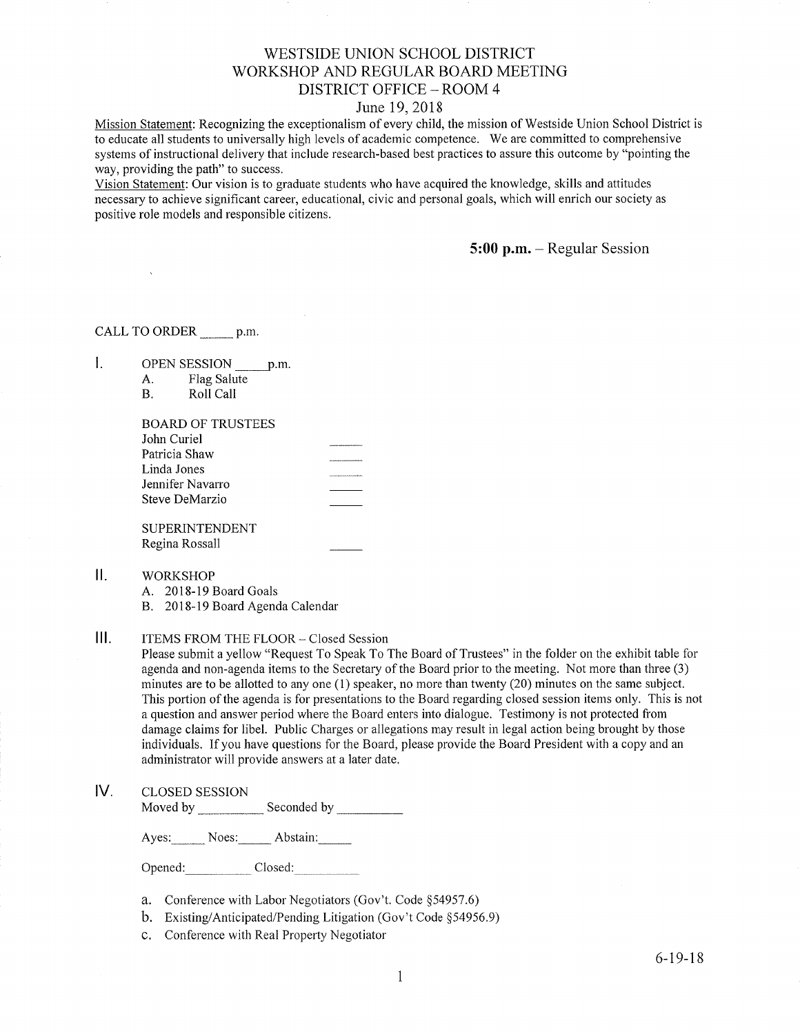## WESTSIDE UNION SCHOOL DISTRICT WORKSHOP AND REGULAR BOARD MEETING DISTRICT OFFICE - ROOM <sup>4</sup>

## June 19,2018

Mission Statement: Recognizing the exceptionalism of every child, the mission of Westside Union School District is to educate all students to universally high levels of academic competence. We are committed to comprehensive systems of instructional delivery that include research-based best practices to assure this outcome by "pointing the way, providing the path" to success.

Vision Statement: Our vision is to graduate students who have acquired the knowledge, skills and attitudes necessary to achieve significant career, educational, civic and personal goals, which will enrich our society as positive role models and responsible citizens.

5:00 p.m. - Regular Session

CALL TO ORDER \_\_\_\_\_\_\_\_ p.m.

 $\mathbf{L}$ OPEN SESSION \_\_\_\_\_\_ p.m.

A. Flag Salute

| Roll Call |  |
|-----------|--|
|           |  |

| BOARD OF TRUSTEES |  |
|-------------------|--|
| John Curiel       |  |
| Patricia Shaw     |  |
| Linda Jones       |  |
| Jennifer Navarro  |  |
| Steve DeMarzio    |  |
|                   |  |
|                   |  |

SUPERINTENDENT Regina Rossall

#### $II.$ WORKSHOP

A. 2018-19 Board Goals

B. 2018-19 Board Agenda Calendar

#### $III.$ ITEMS FROM THE FLOOR - Closed Session

Please submit a yellow "Request To Speak To The Board of Trustees" in the folder on the exhibit table for agenda and non-agenda items to the Secretary of the Board prior to the meeting. Not more than three (3) minutes are to be allotted to any one (1) speaker, no more than twenty (20) minutes on the same subject. This portion of the agenda is for presentations to the Board regarding closed session items only. This is not a question and answer period where the Board enters into dialogue. Testimony is not protected from damage claims for libel. Public Charges or allegations may result in legal action being brought by those individuals. If you have questions for the Board, please provide the Board President with a copy and an administrator will provide answers at a later date.

## lV. cLosED sESSroN

Moved by Seconded by Seconded by Seconded by Seconded by Seconded by Seconded by Seconded by Seconded by Seconded by Seconded by Seconded by Seconded by Seconded by Seconded by Seconded by Seconded by Seconded by Seconded

Ayes: Noes: Abstain:

Opened: Closed

- a. Conference with Labor Negotiators (Gov't. Code \$54957.6)
- b. Existing/Anticipated/Pending Litigation (Gov't Code \$54956.9)
- c. Conference with Real Property Negotiator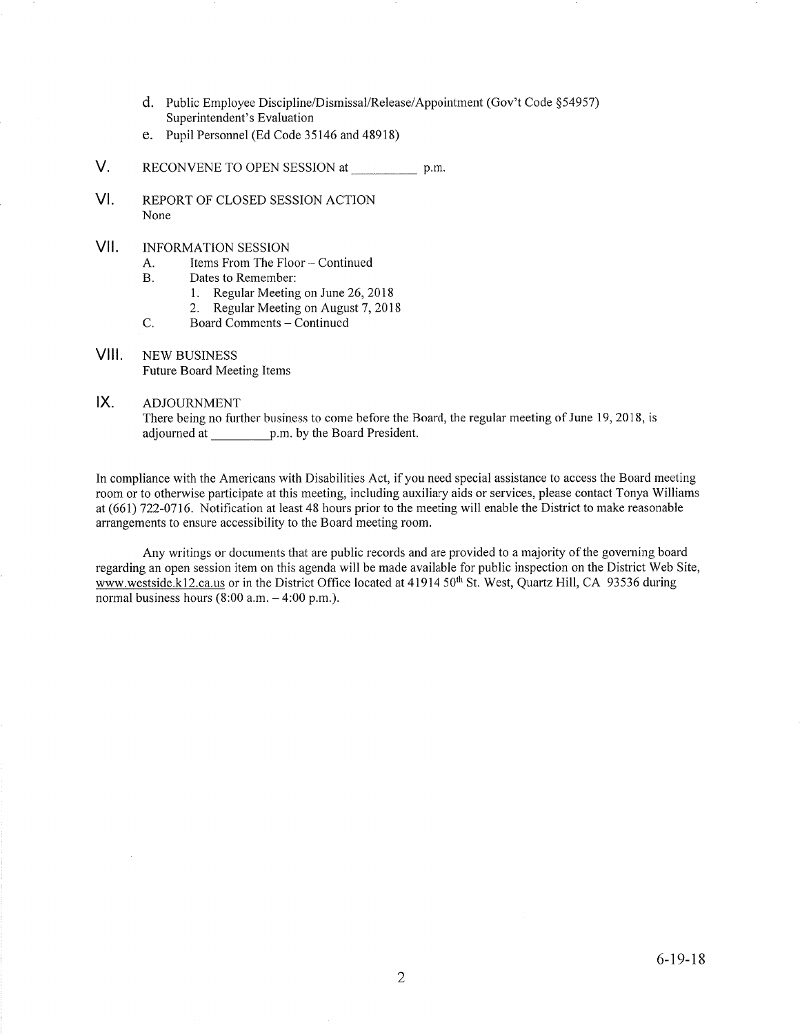- d. Public Employee Discipline/Dismissal/Release/Appointment (Gov't Code \$54957) Superintendent's Evaluation
- e. Pupil Personnel (Ed Code 35146 and 48918)
- V. RECONVENE TO OPEN SESSION at p.m.
- vt. REPORT OF CLOSED SESSION ACTION None
- vil INFORMATION SESSION
	- A. Items From The Floor Continued<br>B. Dates to Remember:
	- - 1. Regular Meeting on June 26,2018
	- 2. Regular Meeting on August 7, 2018<br>C. Board Comments Continued
	-
- VIII. NEW BUSINESS Future Board Meeting Items

#### ADJOURNMENT  $IX.$

There being no further business to come before the Board, the regular meeting of June 19, 2018, is adjourned at p.m. by the Board President.

In compliance with the Americans with Disabilities Act, if you need special assistance to access the Board meeting room or to otherwise participate at this meeting, including auxiliary aids or services, please contact Tonya Williams at (661) 722-0716. Notification at least 48 hours prior to the meeting will enable the District to make reasonable arrangements to ensure accessibility to the Board meeting room.

Any writings or documents that are public records and are provided to a majority of the governing board regarding an open session item on this agenda will be made available for public inspection on the District Web Site, www.westside.k12.ca.us or in the District Office located at 41914 50<sup>th</sup> St. West, Quartz Hill, CA 93536 during normal business hours  $(8:00 a.m. - 4:00 p.m.).$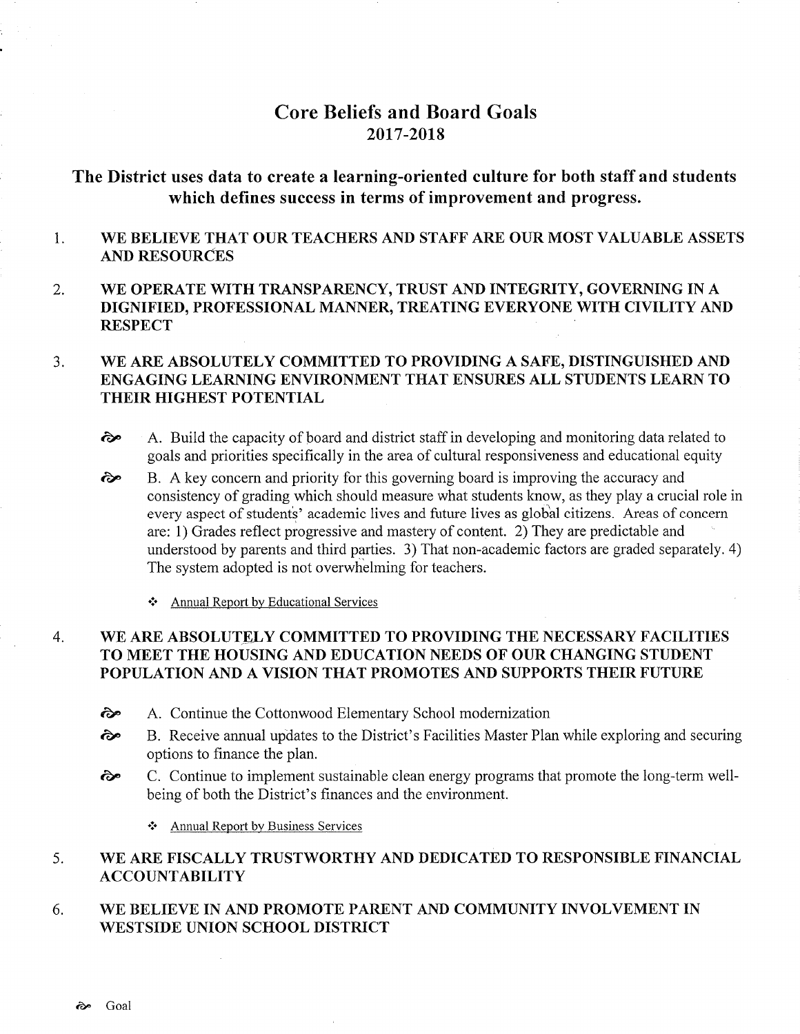# Core Beliefs and Board Goals 20t7-20t8

# The District uses data to create a learning-oriented culture for both staff and students which defines success in terms of improvement and progress.

#### 1 WE BELIEVE THAT OUR TEACHERS AND STAFF ARE OUR MOST VALUABLE ASSETS AND RESOURCES

2 WE OPERATE WITH TRANSPARENCY, TRUST AND INTEGRITY, GOVERNING IN A DIGNIFIED, PROFESSIONAL MANNER, TREATING EVERYONE WITH CIVILITY AND **RESPECT** 

#### WE ARE ABSOLUTELY COMMITTED TO PROVIDING A SAFE, DISTINGUISHED AND ENGAGING LEARNING ENVIRONMENT THAT ENSURES ALL STUDENTS LEARN TO THEIR HIGHEST POTBNTIAL  $3<sub>1</sub>$

 $\hat{\infty}$  A. Build the capacity of board and district staff in developing and monitoring data related to goals and priorities specifically in the area of cultural responsiveness and educational equity

B. A key concern and priority for this governing board is improving the accuracy and consistency of grading which should measure what students know, as they play a crucial role in every aspect of students' academic lives and future lives as global citizens. Areas of concern are: 1) Grades reflect progressive and mastery of content. 2) They are predictable and understood by parents and third parties. 3) That non-academic factors are graded separately. 4) The system adopted is not overwhelming for teachers. èp

\* Annual Report by Educational Services

#### WE ARE ABSOLUTELY COMMITTED TO PROVIDING THE NECESSARY FACILITIES TO MEET THE HOUSING AND EDUCATION NEEDS OF OUR CHANGING STUDENT POPULATION AND A VISION THAT PROMOTES AND SUPPORTS THEIR FUTURE 4

- èp A. Continue the Cottonwood Elementary School modernization
- rãp B. Receive annual updates to the District's Facilities Master Plan while exploring and securing options to finance the plan.
- $\odot$  C. Continue to implement sustainable clean energy programs that promote the long-term wellbeing of both the District's finances and the environment.

\* Annual Report by Business Services

#### WB ARE FISCALLY TRUSTWORTHY AND DEDICATED TO RESPONSIBLE FINANCIAL ACCOUNTABILITY 5.

WE BELIEVE IN AND PROMOTE PARENT AND COMMUNITY INVOLVEMENT IN WESTSIDE UNION SCHOOL DISTRICT 6.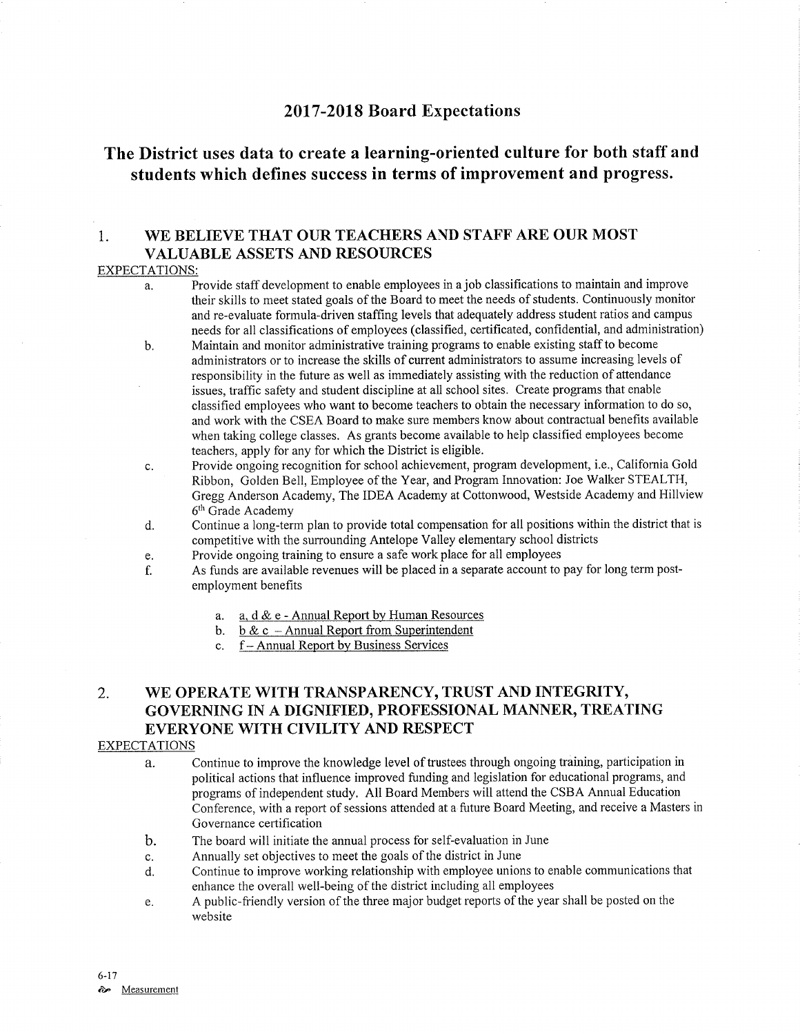## <sup>2017</sup>-2018 Board Expectations

## The District uses data to create a learning-oriented culture for both staff and students which defines success in terms of improvement and progress.

## 1. WE BELIEVE THAT OUR TEACHERS AND STAFF ARE OUR MOST VALUABLE ASSETS AND RESOURCES

## EXPECTATIONS:

- a. Provide staff development to enable employees in a job classihcations to maintain and improve their skills to meet stated goals of the Board to meet the needs of students. Continuously monitor and re-evaluate formula-driven staffing levels that adequately address student ratios and campus needs for all classifications of employees (classified, certificated, confidential, and administration) b. Maintain and monitor administrative training programs to enable existing staff to become
- administrators or to increase the skills of curent administrators to assume increasing levels of responsibility in the future as well as immediately assisting with the reduction of attendance issues, traffic safety and student discipline at all school sites. Create programs that enable classified employees who want to become teachers to obtain the necessary information to do so, and work with the CSEA Board to make sure members know about contractual benefits available when taking college classes. As grants become available to help classified employees become teachers, apply for any for which the District is eligible.
- c. Provide ongoing recognition for school achievement, program development, i.e., Califomia Goid Ribbon, Golden Bell, Employee of the Year, and Program Innovation: Joe Walker STEALTH, Gregg Anderson Academy, The IDEA Academy at Cottonwood, Westside Academy and Hillview 6<sup>th</sup> Grade Academy
- d. Continue a long-term plan to provide total compensation for all positions within the district that is competitive with the surrounding Antelope Valley elementary school districts
- e. Provide ongoing training to ensure a safe work place for all employees
- f. As funds are available revenues will be placed in a separate account to pay for long term postemployment benefits
	- a.  $a, d \& e$  Annual Report by Human Resources
	- b. b & c Annual Report from Superintendent c.  $f$  Annual Report by Business Services
	-

## 2. WE OPERATE WITH TRANSPARENCY, TRUST AND INTEGRITY, GOVERNING IN A DIGNIFIED, PROFESSIONAL MANNER, TREATING EVERYONE WITH CIVILITY AND RESPECT

## **EXPECTATIONS**

- a. Continue to improve the knowledge level of trustees through ongoing training, parlicipation in political actions that influence improved funding and legislation for educational programs, and programs of independent study. All Board Members will attend the CSBA Annual Education Conference, with a report of sessions attended at a future Board Meeting, and receive a Masters in Governance certification
- b. The board will initiate the annual process for self-evaluation in June
- c. Annually set objectives to meet the goals of the district in June
- d. Continue to improve working relationship with employee unions to enable communications that enhance the overall well-being of the district including all employees
- e. A public-friendly version of the three major budget reports of the year shall be posted on the website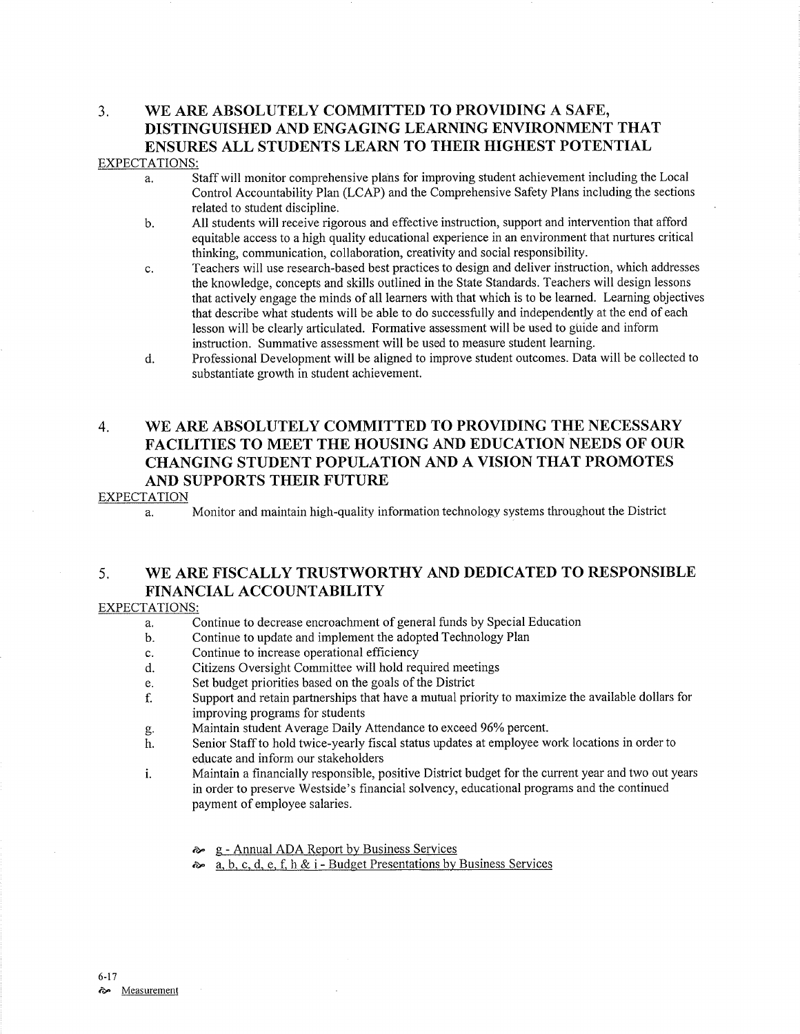# 3. WE ARE ABSOLUTELY COMMITTED TO PROVIDING A SAFE, DISTINGUISHED AND ENGAGING LEARNING ENVIRONMENT THAT ENSURES ALL STUDENTS LEARN TO THEIR HIGHEST POTENTIAL

## EXPECTATIONS:

- a. Staff will monitor comprehensive plans for improving student achievement including the Local Control Accountabilify Plan (LCAP) and the Comprehensive Safety Plans including the sections related to student discipline.
- b. All students will receive rigorous and effective instruction, support and intervention that afford equitable access to a high quality educational experience in an environment that nuftures critical thinking, communication, collaboration, creativity and social responsibility.
- c. Teachers will use research-based best practices to design and deliver instruction, which addresses the knowledge, concepts and skills outlined in the State Standards. Teachers will design lessons that actively engage the minds of all learners with that which is to be leamed. Learning objectives that describe what students will be able to do successfully and independently at the end of each lesson will be clearly articulated. Formative assessment will be used to gûide and inform instruction. Summative assessment will be used to measure student leaming.
- d. Professional Development will be aligned to improve student outcomes. Data will be collected to substantiate growth in student achievement.

## 4. \ryE ARE ABSOLUTELY COMMITTED TO PROVIDING THE NECESSARY FACILITIES TO MEET THE HOUSING ÄND EDUCATION NEEDS OF OUR CHANGING STUDENT POPULATION AND A VISION THAT PROMOTES AND SUPPORTS THEIR FUTURE

#### EXPECTATION

a. Monitor and maintain high-quality information technology systems throughout the District

## 5. WE ARE FISCALLY TRUSTWORTHY AND DEDICATED TO RESPONSIBLE FINANCIAL ACCOUNTABILITY

#### EXPECTATIONS:

- a. Continue to decrease encroachment of general funds by Special Education
- b. Continue to update and implement the adopted Technology Plan
- 
- c. Continue to increase operational efficiency<br>d. Citizens Oversight Committee will hold required meetings
- e. Set budget priorities based on the goals of the District
- f. Suppoft and retain partnerships that have a mutual priority to maximize the available dollars for improving programs for students
- 
- g. Maintain student Average Daily Attendance to exceed 96% percent.<br>h. Senior Staff to hold twice-yearly fiscal status updates at employee work locations in order to educate and inform our stakeholders
- i. Maintain a financially responsible, positive District budget for the current year and two out years in order to preserve Westside's financial solvency, educational programs and the continued payment of employee salaries.
	- $\approx$  g Annual ADA Report by B
	- **a.** b. c, d, e, f, h & i Budget Presentations by Business Services